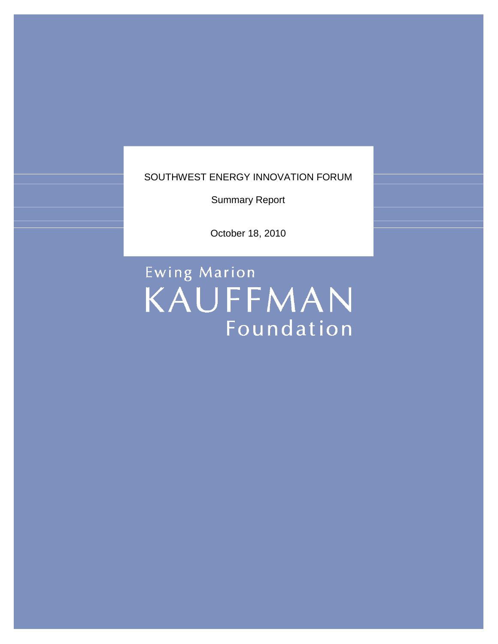SOUTHWEST ENERGY INNOVATION FORUM

Summary Report

October 18, 2010

Ewing Marion KAUFFMAN Foundation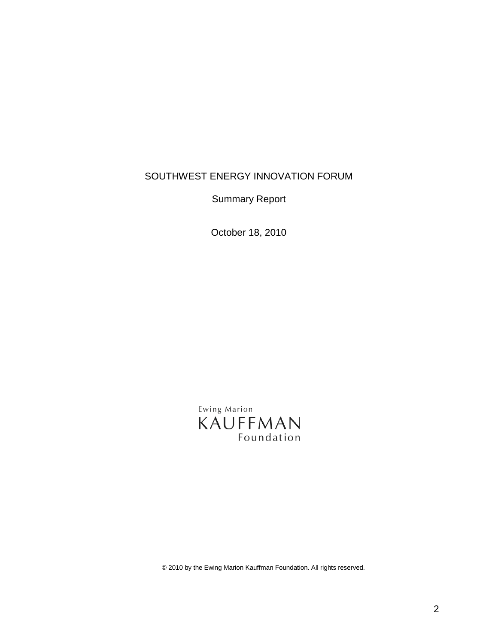### SOUTHWEST ENERGY INNOVATION FORUM

Summary Report

October 18, 2010

Ewing Marion KAUFFMAN Foundation

© 2010 by the Ewing Marion Kauffman Foundation. All rights reserved.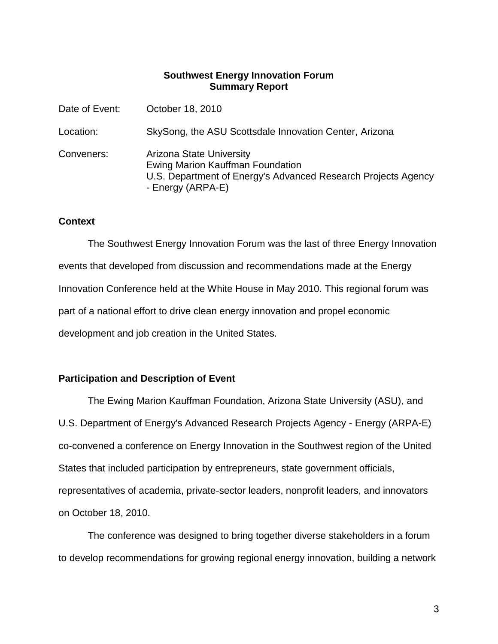### **Southwest Energy Innovation Forum Summary Report**

| Date of Event: | October 18, 2010                                                                                                                                          |
|----------------|-----------------------------------------------------------------------------------------------------------------------------------------------------------|
| Location:      | SkySong, the ASU Scottsdale Innovation Center, Arizona                                                                                                    |
| Conveners:     | <b>Arizona State University</b><br>Ewing Marion Kauffman Foundation<br>U.S. Department of Energy's Advanced Research Projects Agency<br>- Energy (ARPA-E) |

### **Context**

The Southwest Energy Innovation Forum was the last of three Energy Innovation events that developed from discussion and recommendations made at the Energy Innovation Conference held at the White House in May 2010. This regional forum was part of a national effort to drive clean energy innovation and propel economic development and job creation in the United States.

### **Participation and Description of Event**

The Ewing Marion Kauffman Foundation, Arizona State University (ASU), and U.S. Department of Energy's Advanced Research Projects Agency - Energy (ARPA-E) co-convened a conference on Energy Innovation in the Southwest region of the United States that included participation by entrepreneurs, state government officials, representatives of academia, private-sector leaders, nonprofit leaders, and innovators on October 18, 2010.

The conference was designed to bring together diverse stakeholders in a forum to develop recommendations for growing regional energy innovation, building a network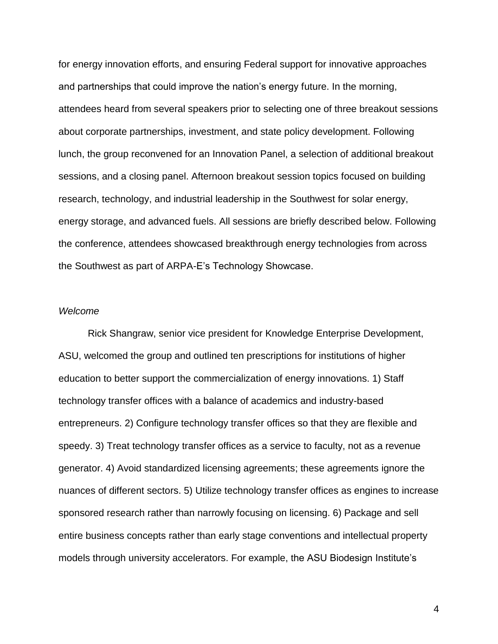for energy innovation efforts, and ensuring Federal support for innovative approaches and partnerships that could improve the nation's energy future. In the morning, attendees heard from several speakers prior to selecting one of three breakout sessions about corporate partnerships, investment, and state policy development. Following lunch, the group reconvened for an Innovation Panel, a selection of additional breakout sessions, and a closing panel. Afternoon breakout session topics focused on building research, technology, and industrial leadership in the Southwest for solar energy, energy storage, and advanced fuels. All sessions are briefly described below. Following the conference, attendees showcased breakthrough energy technologies from across the Southwest as part of ARPA-E's Technology Showcase.

### *Welcome*

Rick Shangraw, senior vice president for Knowledge Enterprise Development, ASU, welcomed the group and outlined ten prescriptions for institutions of higher education to better support the commercialization of energy innovations. 1) Staff technology transfer offices with a balance of academics and industry-based entrepreneurs. 2) Configure technology transfer offices so that they are flexible and speedy. 3) Treat technology transfer offices as a service to faculty, not as a revenue generator. 4) Avoid standardized licensing agreements; these agreements ignore the nuances of different sectors. 5) Utilize technology transfer offices as engines to increase sponsored research rather than narrowly focusing on licensing. 6) Package and sell entire business concepts rather than early stage conventions and intellectual property models through university accelerators. For example, the ASU Biodesign Institute's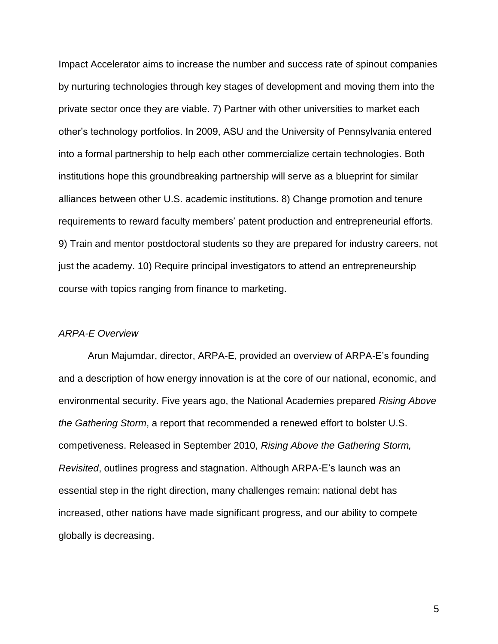Impact Accelerator aims to increase the number and success rate of spinout companies by nurturing technologies through key stages of development and moving them into the private sector once they are viable. 7) Partner with other universities to market each other's technology portfolios. In 2009, ASU and the University of Pennsylvania entered into a formal partnership to help each other commercialize certain technologies. Both institutions hope this groundbreaking partnership will serve as a blueprint for similar alliances between other U.S. academic institutions. 8) Change promotion and tenure requirements to reward faculty members' patent production and entrepreneurial efforts. 9) Train and mentor postdoctoral students so they are prepared for industry careers, not just the academy. 10) Require principal investigators to attend an entrepreneurship course with topics ranging from finance to marketing.

### *ARPA-E Overview*

Arun Majumdar, director, ARPA-E, provided an overview of ARPA-E's founding and a description of how energy innovation is at the core of our national, economic, and environmental security. Five years ago, the National Academies prepared *Rising Above the Gathering Storm*, a report that recommended a renewed effort to bolster U.S. competiveness. Released in September 2010, *Rising Above the Gathering Storm, Revisited*, outlines progress and stagnation. Although ARPA-E's launch was an essential step in the right direction, many challenges remain: national debt has increased, other nations have made significant progress, and our ability to compete globally is decreasing.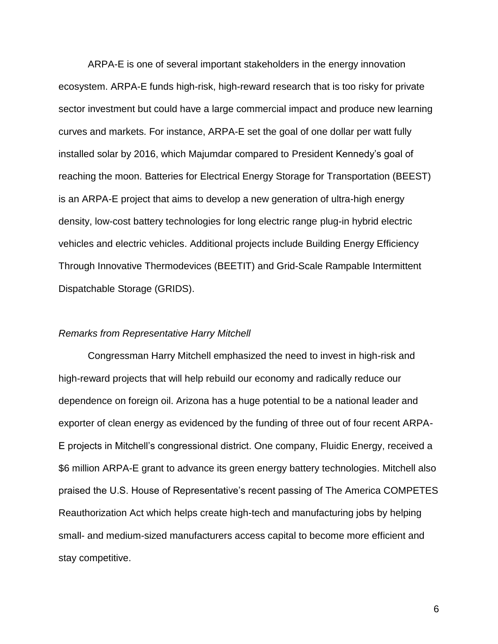ARPA-E is one of several important stakeholders in the energy innovation ecosystem. ARPA-E funds high-risk, high-reward research that is too risky for private sector investment but could have a large commercial impact and produce new learning curves and markets. For instance, ARPA-E set the goal of one dollar per watt fully installed solar by 2016, which Majumdar compared to President Kennedy's goal of reaching the moon. Batteries for Electrical Energy Storage for Transportation (BEEST) is an ARPA-E project that aims to develop a new generation of ultra-high energy density, low-cost battery technologies for long electric range plug-in hybrid electric vehicles and electric vehicles. Additional projects include Building Energy Efficiency Through Innovative Thermodevices (BEETIT) and Grid-Scale Rampable Intermittent Dispatchable Storage (GRIDS).

#### *Remarks from Representative Harry Mitchell*

Congressman Harry Mitchell emphasized the need to invest in high-risk and high-reward projects that will help rebuild our economy and radically reduce our dependence on foreign oil. Arizona has a huge potential to be a national leader and exporter of clean energy as evidenced by the funding of three out of four recent ARPA-E projects in Mitchell's congressional district. One company, Fluidic Energy, received a \$6 million ARPA-E grant to advance its green energy battery technologies. Mitchell also praised the U.S. House of Representative's recent passing of The America COMPETES Reauthorization Act which helps create high-tech and manufacturing jobs by helping small- and medium-sized manufacturers access capital to become more efficient and stay competitive.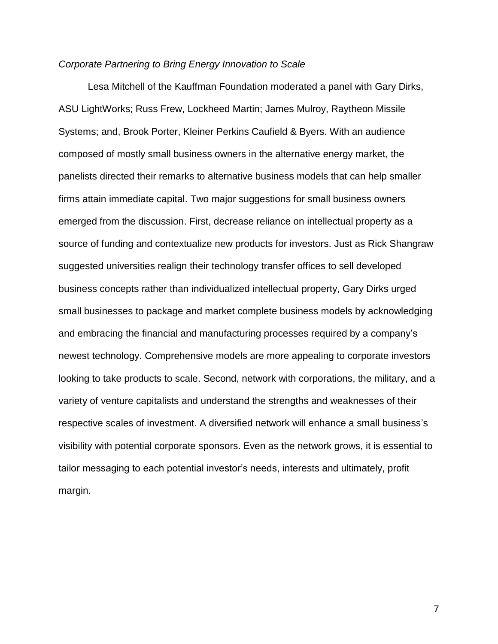### *Corporate Partnering to Bring Energy Innovation to Scale*

Lesa Mitchell of the Kauffman Foundation moderated a panel with Gary Dirks, ASU LightWorks; Russ Frew, Lockheed Martin; James Mulroy, Raytheon Missile Systems; and, Brook Porter, Kleiner Perkins Caufield & Byers. With an audience composed of mostly small business owners in the alternative energy market, the panelists directed their remarks to alternative business models that can help smaller firms attain immediate capital. Two major suggestions for small business owners emerged from the discussion. First, decrease reliance on intellectual property as a source of funding and contextualize new products for investors. Just as Rick Shangraw suggested universities realign their technology transfer offices to sell developed business concepts rather than individualized intellectual property, Gary Dirks urged small businesses to package and market complete business models by acknowledging and embracing the financial and manufacturing processes required by a company's newest technology. Comprehensive models are more appealing to corporate investors looking to take products to scale. Second, network with corporations, the military, and a variety of venture capitalists and understand the strengths and weaknesses of their respective scales of investment. A diversified network will enhance a small business's visibility with potential corporate sponsors. Even as the network grows, it is essential to tailor messaging to each potential investor's needs, interests and ultimately, profit margin.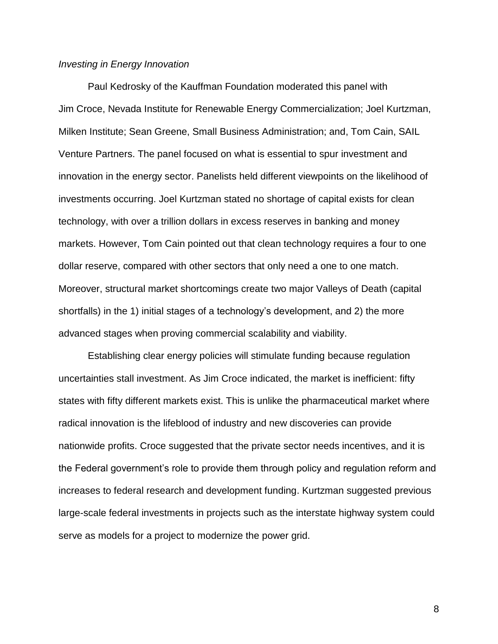### *Investing in Energy Innovation*

Paul Kedrosky of the Kauffman Foundation moderated this panel with Jim Croce, Nevada Institute for Renewable Energy Commercialization; Joel Kurtzman, Milken Institute; Sean Greene, Small Business Administration; and, Tom Cain, SAIL Venture Partners. The panel focused on what is essential to spur investment and innovation in the energy sector. Panelists held different viewpoints on the likelihood of investments occurring. Joel Kurtzman stated no shortage of capital exists for clean technology, with over a trillion dollars in excess reserves in banking and money markets. However, Tom Cain pointed out that clean technology requires a four to one dollar reserve, compared with other sectors that only need a one to one match. Moreover, structural market shortcomings create two major Valleys of Death (capital shortfalls) in the 1) initial stages of a technology's development, and 2) the more advanced stages when proving commercial scalability and viability.

Establishing clear energy policies will stimulate funding because regulation uncertainties stall investment. As Jim Croce indicated, the market is inefficient: fifty states with fifty different markets exist. This is unlike the pharmaceutical market where radical innovation is the lifeblood of industry and new discoveries can provide nationwide profits. Croce suggested that the private sector needs incentives, and it is the Federal government's role to provide them through policy and regulation reform and increases to federal research and development funding. Kurtzman suggested previous large-scale federal investments in projects such as the interstate highway system could serve as models for a project to modernize the power grid.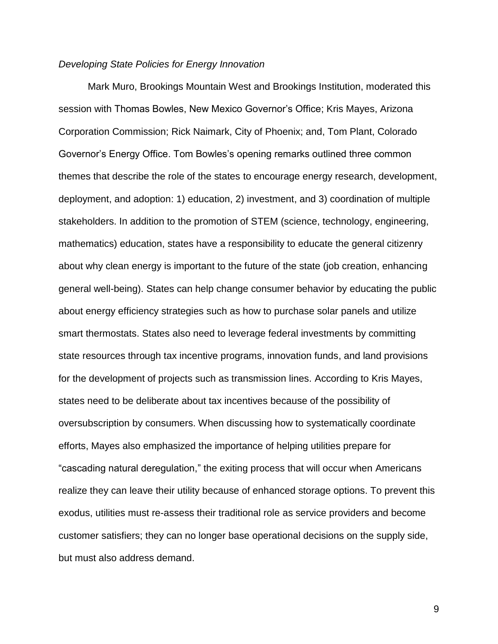### *Developing State Policies for Energy Innovation*

Mark Muro, Brookings Mountain West and Brookings Institution, moderated this session with Thomas Bowles, New Mexico Governor's Office; Kris Mayes, Arizona Corporation Commission; Rick Naimark, City of Phoenix; and, Tom Plant, Colorado Governor's Energy Office. Tom Bowles's opening remarks outlined three common themes that describe the role of the states to encourage energy research, development, deployment, and adoption: 1) education, 2) investment, and 3) coordination of multiple stakeholders. In addition to the promotion of STEM (science, technology, engineering, mathematics) education, states have a responsibility to educate the general citizenry about why clean energy is important to the future of the state (job creation, enhancing general well-being). States can help change consumer behavior by educating the public about energy efficiency strategies such as how to purchase solar panels and utilize smart thermostats. States also need to leverage federal investments by committing state resources through tax incentive programs, innovation funds, and land provisions for the development of projects such as transmission lines. According to Kris Mayes, states need to be deliberate about tax incentives because of the possibility of oversubscription by consumers. When discussing how to systematically coordinate efforts, Mayes also emphasized the importance of helping utilities prepare for "cascading natural deregulation," the exiting process that will occur when Americans realize they can leave their utility because of enhanced storage options. To prevent this exodus, utilities must re-assess their traditional role as service providers and become customer satisfiers; they can no longer base operational decisions on the supply side, but must also address demand.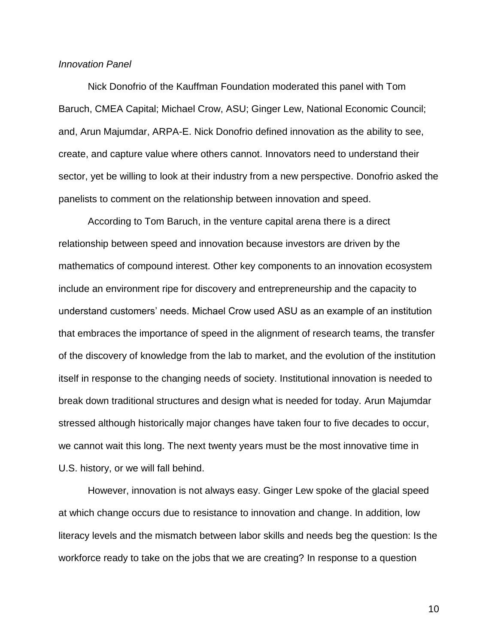### *Innovation Panel*

Nick Donofrio of the Kauffman Foundation moderated this panel with Tom Baruch, CMEA Capital; Michael Crow, ASU; Ginger Lew, National Economic Council; and, Arun Majumdar, ARPA-E. Nick Donofrio defined innovation as the ability to see, create, and capture value where others cannot. Innovators need to understand their sector, yet be willing to look at their industry from a new perspective. Donofrio asked the panelists to comment on the relationship between innovation and speed.

According to Tom Baruch, in the venture capital arena there is a direct relationship between speed and innovation because investors are driven by the mathematics of compound interest. Other key components to an innovation ecosystem include an environment ripe for discovery and entrepreneurship and the capacity to understand customers' needs. Michael Crow used ASU as an example of an institution that embraces the importance of speed in the alignment of research teams, the transfer of the discovery of knowledge from the lab to market, and the evolution of the institution itself in response to the changing needs of society. Institutional innovation is needed to break down traditional structures and design what is needed for today. Arun Majumdar stressed although historically major changes have taken four to five decades to occur, we cannot wait this long. The next twenty years must be the most innovative time in U.S. history, or we will fall behind.

However, innovation is not always easy. Ginger Lew spoke of the glacial speed at which change occurs due to resistance to innovation and change. In addition, low literacy levels and the mismatch between labor skills and needs beg the question: Is the workforce ready to take on the jobs that we are creating? In response to a question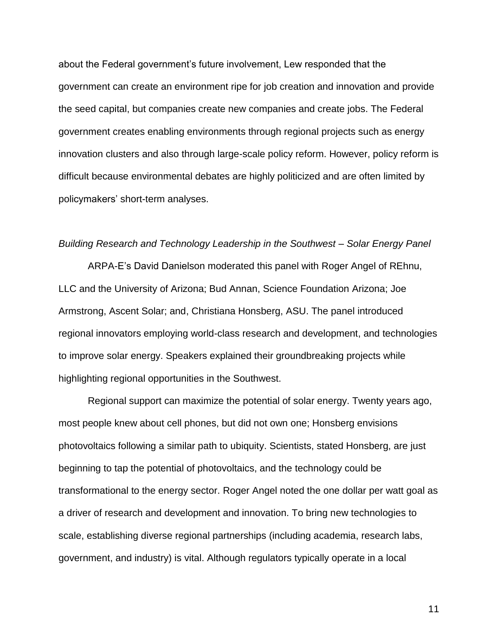about the Federal government's future involvement, Lew responded that the government can create an environment ripe for job creation and innovation and provide the seed capital, but companies create new companies and create jobs. The Federal government creates enabling environments through regional projects such as energy innovation clusters and also through large-scale policy reform. However, policy reform is difficult because environmental debates are highly politicized and are often limited by policymakers' short-term analyses.

#### *Building Research and Technology Leadership in the Southwest – Solar Energy Panel*

ARPA-E's David Danielson moderated this panel with Roger Angel of REhnu, LLC and the University of Arizona; Bud Annan, Science Foundation Arizona; Joe Armstrong, Ascent Solar; and, Christiana Honsberg, ASU. The panel introduced regional innovators employing world-class research and development, and technologies to improve solar energy. Speakers explained their groundbreaking projects while highlighting regional opportunities in the Southwest.

Regional support can maximize the potential of solar energy. Twenty years ago, most people knew about cell phones, but did not own one; Honsberg envisions photovoltaics following a similar path to ubiquity. Scientists, stated Honsberg, are just beginning to tap the potential of photovoltaics, and the technology could be transformational to the energy sector. Roger Angel noted the one dollar per watt goal as a driver of research and development and innovation. To bring new technologies to scale, establishing diverse regional partnerships (including academia, research labs, government, and industry) is vital. Although regulators typically operate in a local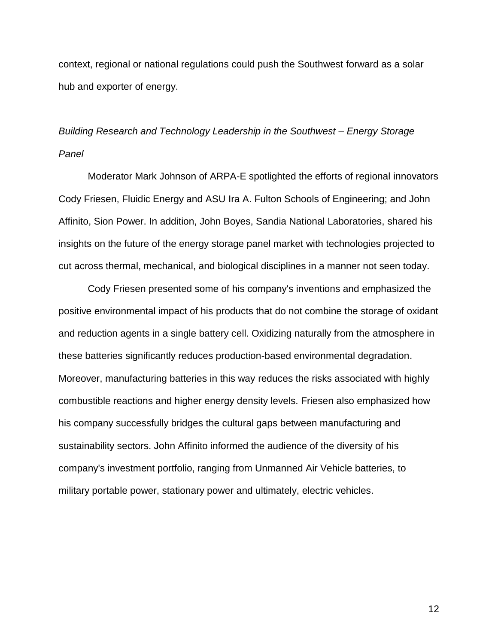context, regional or national regulations could push the Southwest forward as a solar hub and exporter of energy.

# *Building Research and Technology Leadership in the Southwest – Energy Storage Panel*

Moderator Mark Johnson of ARPA-E spotlighted the efforts of regional innovators Cody Friesen, Fluidic Energy and ASU Ira A. Fulton Schools of Engineering; and John Affinito, Sion Power. In addition, John Boyes, Sandia National Laboratories, shared his insights on the future of the energy storage panel market with technologies projected to cut across thermal, mechanical, and biological disciplines in a manner not seen today.

Cody Friesen presented some of his company's inventions and emphasized the positive environmental impact of his products that do not combine the storage of oxidant and reduction agents in a single battery cell. Oxidizing naturally from the atmosphere in these batteries significantly reduces production-based environmental degradation. Moreover, manufacturing batteries in this way reduces the risks associated with highly combustible reactions and higher energy density levels. Friesen also emphasized how his company successfully bridges the cultural gaps between manufacturing and sustainability sectors. John Affinito informed the audience of the diversity of his company's investment portfolio, ranging from Unmanned Air Vehicle batteries, to military portable power, stationary power and ultimately, electric vehicles.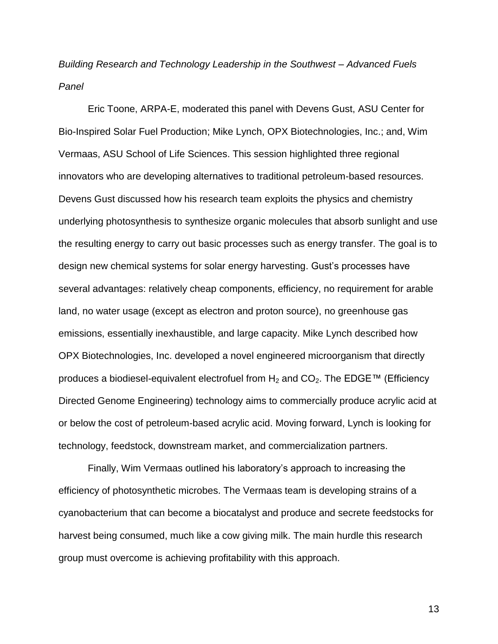*Building Research and Technology Leadership in the Southwest – Advanced Fuels Panel*

Eric Toone, ARPA-E, moderated this panel with Devens Gust, ASU Center for Bio-Inspired Solar Fuel Production; Mike Lynch, OPX Biotechnologies, Inc.; and, Wim Vermaas, ASU School of Life Sciences. This session highlighted three regional innovators who are developing alternatives to traditional petroleum-based resources. Devens Gust discussed how his research team exploits the physics and chemistry underlying photosynthesis to synthesize organic molecules that absorb sunlight and use the resulting energy to carry out basic processes such as energy transfer. The goal is to design new chemical systems for solar energy harvesting. Gust's processes have several advantages: relatively cheap components, efficiency, no requirement for arable land, no water usage (except as electron and proton source), no greenhouse gas emissions, essentially inexhaustible, and large capacity. Mike Lynch described how OPX Biotechnologies, Inc. developed a novel engineered microorganism that directly produces a biodiesel-equivalent electrofuel from  $H_2$  and  $CO_2$ . The EDGE™ (Efficiency Directed Genome Engineering) technology aims to commercially produce acrylic acid at or below the cost of petroleum-based acrylic acid. Moving forward, Lynch is looking for technology, feedstock, downstream market, and commercialization partners.

Finally, Wim Vermaas outlined his laboratory's approach to increasing the efficiency of photosynthetic microbes. The Vermaas team is developing strains of a cyanobacterium that can become a biocatalyst and produce and secrete feedstocks for harvest being consumed, much like a cow giving milk. The main hurdle this research group must overcome is achieving profitability with this approach.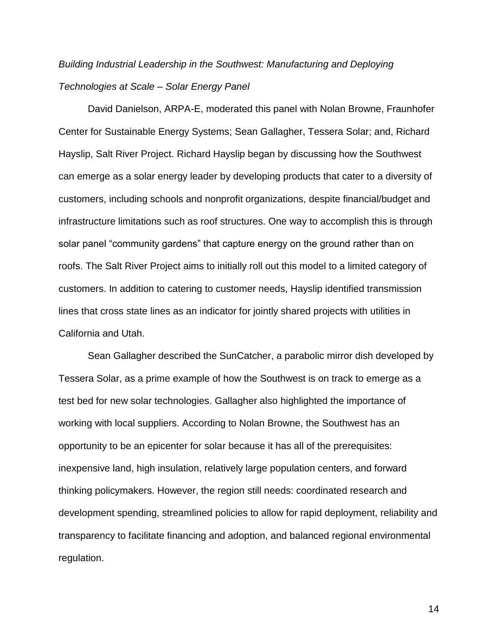# *Building Industrial Leadership in the Southwest: Manufacturing and Deploying Technologies at Scale – Solar Energy Panel*

David Danielson, ARPA-E, moderated this panel with Nolan Browne, Fraunhofer Center for Sustainable Energy Systems; Sean Gallagher, Tessera Solar; and, Richard Hayslip, Salt River Project. Richard Hayslip began by discussing how the Southwest can emerge as a solar energy leader by developing products that cater to a diversity of customers, including schools and nonprofit organizations, despite financial/budget and infrastructure limitations such as roof structures. One way to accomplish this is through solar panel "community gardens" that capture energy on the ground rather than on roofs. The Salt River Project aims to initially roll out this model to a limited category of customers. In addition to catering to customer needs, Hayslip identified transmission lines that cross state lines as an indicator for jointly shared projects with utilities in California and Utah.

Sean Gallagher described the SunCatcher, a parabolic mirror dish developed by Tessera Solar, as a prime example of how the Southwest is on track to emerge as a test bed for new solar technologies. Gallagher also highlighted the importance of working with local suppliers. According to Nolan Browne, the Southwest has an opportunity to be an epicenter for solar because it has all of the prerequisites: inexpensive land, high insulation, relatively large population centers, and forward thinking policymakers. However, the region still needs: coordinated research and development spending, streamlined policies to allow for rapid deployment, reliability and transparency to facilitate financing and adoption, and balanced regional environmental regulation.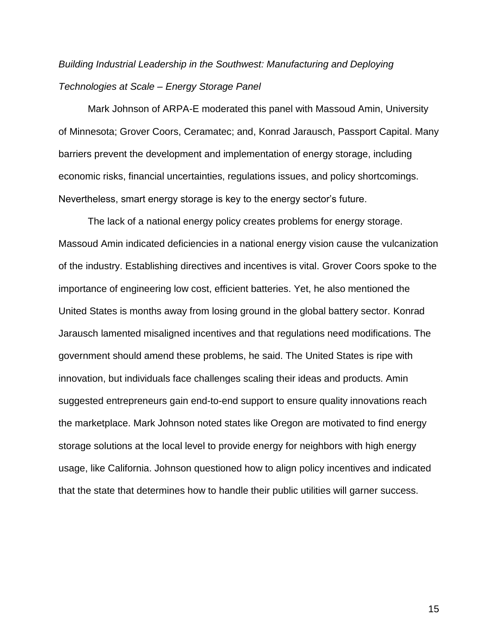# *Building Industrial Leadership in the Southwest: Manufacturing and Deploying Technologies at Scale – Energy Storage Panel*

Mark Johnson of ARPA-E moderated this panel with Massoud Amin, University of Minnesota; Grover Coors, Ceramatec; and, Konrad Jarausch, Passport Capital. Many barriers prevent the development and implementation of energy storage, including economic risks, financial uncertainties, regulations issues, and policy shortcomings. Nevertheless, smart energy storage is key to the energy sector's future.

The lack of a national energy policy creates problems for energy storage. Massoud Amin indicated deficiencies in a national energy vision cause the vulcanization of the industry. Establishing directives and incentives is vital. Grover Coors spoke to the importance of engineering low cost, efficient batteries. Yet, he also mentioned the United States is months away from losing ground in the global battery sector. Konrad Jarausch lamented misaligned incentives and that regulations need modifications. The government should amend these problems, he said. The United States is ripe with innovation, but individuals face challenges scaling their ideas and products. Amin suggested entrepreneurs gain end-to-end support to ensure quality innovations reach the marketplace. Mark Johnson noted states like Oregon are motivated to find energy storage solutions at the local level to provide energy for neighbors with high energy usage, like California. Johnson questioned how to align policy incentives and indicated that the state that determines how to handle their public utilities will garner success.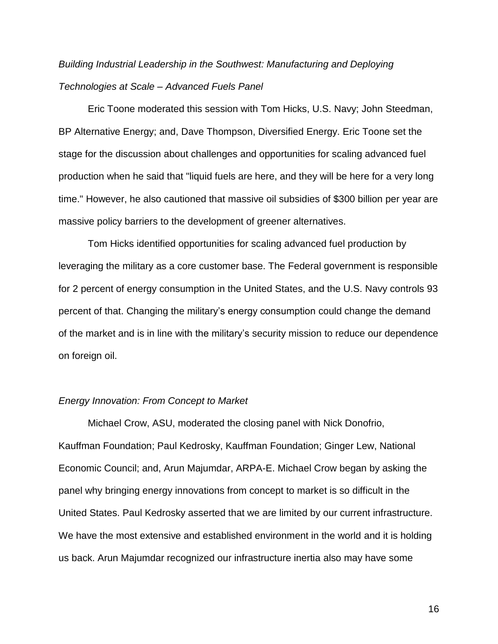# *Building Industrial Leadership in the Southwest: Manufacturing and Deploying Technologies at Scale – Advanced Fuels Panel*

Eric Toone moderated this session with Tom Hicks, U.S. Navy; John Steedman, BP Alternative Energy; and, Dave Thompson, Diversified Energy. Eric Toone set the stage for the discussion about challenges and opportunities for scaling advanced fuel production when he said that "liquid fuels are here, and they will be here for a very long time." However, he also cautioned that massive oil subsidies of \$300 billion per year are massive policy barriers to the development of greener alternatives.

Tom Hicks identified opportunities for scaling advanced fuel production by leveraging the military as a core customer base. The Federal government is responsible for 2 percent of energy consumption in the United States, and the U.S. Navy controls 93 percent of that. Changing the military's energy consumption could change the demand of the market and is in line with the military's security mission to reduce our dependence on foreign oil.

### *Energy Innovation: From Concept to Market*

Michael Crow, ASU, moderated the closing panel with Nick Donofrio, Kauffman Foundation; Paul Kedrosky, Kauffman Foundation; Ginger Lew, National Economic Council; and, Arun Majumdar, ARPA-E. Michael Crow began by asking the panel why bringing energy innovations from concept to market is so difficult in the United States. Paul Kedrosky asserted that we are limited by our current infrastructure. We have the most extensive and established environment in the world and it is holding us back. Arun Majumdar recognized our infrastructure inertia also may have some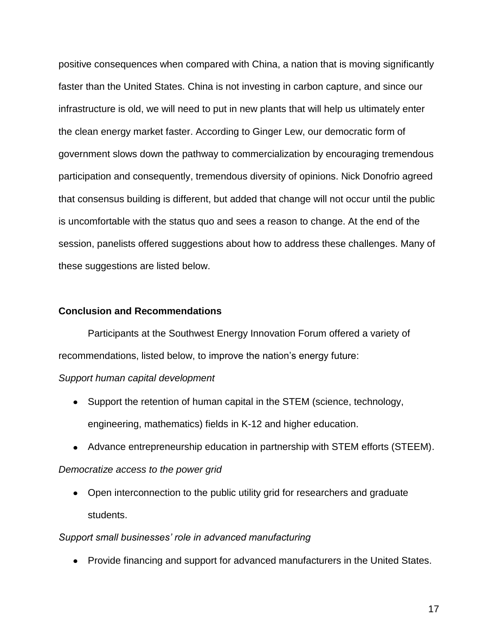positive consequences when compared with China, a nation that is moving significantly faster than the United States. China is not investing in carbon capture, and since our infrastructure is old, we will need to put in new plants that will help us ultimately enter the clean energy market faster. According to Ginger Lew, our democratic form of government slows down the pathway to commercialization by encouraging tremendous participation and consequently, tremendous diversity of opinions. Nick Donofrio agreed that consensus building is different, but added that change will not occur until the public is uncomfortable with the status quo and sees a reason to change. At the end of the session, panelists offered suggestions about how to address these challenges. Many of these suggestions are listed below.

### **Conclusion and Recommendations**

Participants at the Southwest Energy Innovation Forum offered a variety of recommendations, listed below, to improve the nation's energy future:

### *Support human capital development*

- Support the retention of human capital in the STEM (science, technology, engineering, mathematics) fields in K-12 and higher education.
- Advance entrepreneurship education in partnership with STEM efforts (STEEM).

### *Democratize access to the power grid*

• Open interconnection to the public utility grid for researchers and graduate students.

### *Support small businesses' role in advanced manufacturing*

• Provide financing and support for advanced manufacturers in the United States.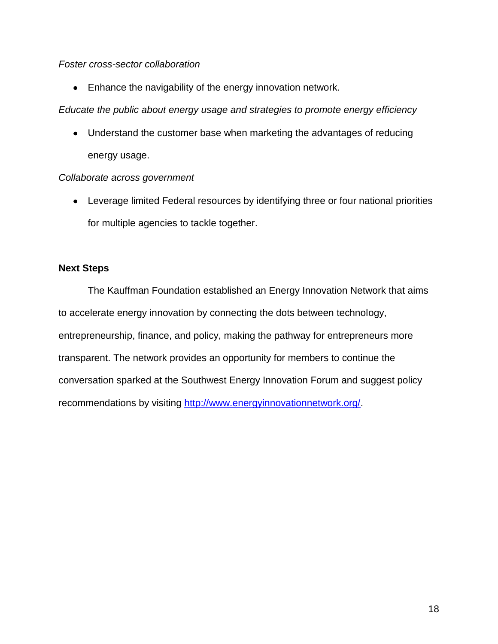### *Foster cross-sector collaboration*

• Enhance the navigability of the energy innovation network.

*Educate the public about energy usage and strategies to promote energy efficiency* 

• Understand the customer base when marketing the advantages of reducing energy usage.

### *Collaborate across government*

Leverage limited Federal resources by identifying three or four national priorities for multiple agencies to tackle together.

### **Next Steps**

The Kauffman Foundation established an Energy Innovation Network that aims to accelerate energy innovation by connecting the dots between technology, entrepreneurship, finance, and policy, making the pathway for entrepreneurs more transparent. The network provides an opportunity for members to continue the conversation sparked at the Southwest Energy Innovation Forum and suggest policy recommendations by visiting [http://www.energyinnovationnetwork.org/.](http://www.energyinnovationnetwork.org/)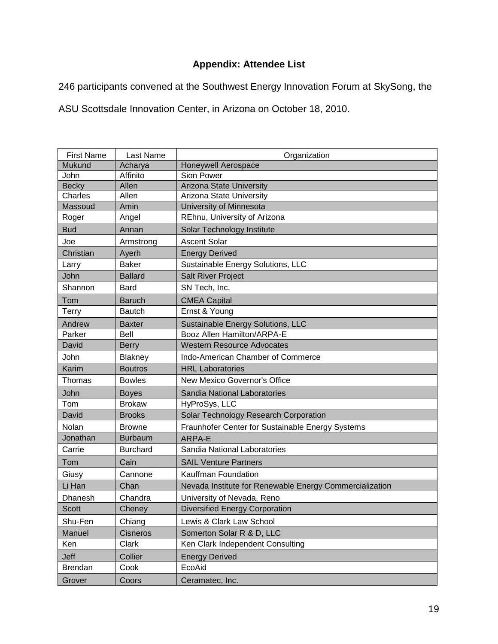### **Appendix: Attendee List**

246 participants convened at the Southwest Energy Innovation Forum at SkySong, the

ASU Scottsdale Innovation Center, in Arizona on October 18, 2010.

| <b>First Name</b> | Last Name       | Organization                                            |
|-------------------|-----------------|---------------------------------------------------------|
| <b>Mukund</b>     | Acharya         | Honeywell Aerospace                                     |
| John              | Affinito        | Sion Power                                              |
| <b>Becky</b>      | Allen           | <b>Arizona State University</b>                         |
| Charles           | Allen           | Arizona State University                                |
| Massoud           | Amin            | University of Minnesota                                 |
| Roger             | Angel           | REhnu, University of Arizona                            |
| <b>Bud</b>        | Annan           | Solar Technology Institute                              |
| Joe               | Armstrong       | <b>Ascent Solar</b>                                     |
| Christian         | Ayerh           | <b>Energy Derived</b>                                   |
| Larry             | <b>Baker</b>    | Sustainable Energy Solutions, LLC                       |
| John              | <b>Ballard</b>  | <b>Salt River Project</b>                               |
| Shannon           | Bard            | SN Tech, Inc.                                           |
| Tom               | <b>Baruch</b>   | <b>CMEA Capital</b>                                     |
| Terry             | <b>Bautch</b>   | Ernst & Young                                           |
| Andrew            | <b>Baxter</b>   | Sustainable Energy Solutions, LLC                       |
| Parker            | Bell            | Booz Allen Hamilton/ARPA-E                              |
| David             | <b>Berry</b>    | <b>Western Resource Advocates</b>                       |
| John              | Blakney         | Indo-American Chamber of Commerce                       |
| Karim             | <b>Boutros</b>  | <b>HRL</b> Laboratories                                 |
| Thomas            | <b>Bowles</b>   | New Mexico Governor's Office                            |
| John              | <b>Boyes</b>    | Sandia National Laboratories                            |
| Tom               | <b>Brokaw</b>   | HyProSys, LLC                                           |
| David             | <b>Brooks</b>   | Solar Technology Research Corporation                   |
| Nolan             | Browne          | Fraunhofer Center for Sustainable Energy Systems        |
| Jonathan          | <b>Burbaum</b>  | ARPA-E                                                  |
| Carrie            | <b>Burchard</b> | Sandia National Laboratories                            |
| Tom               | Cain            | <b>SAIL Venture Partners</b>                            |
| Giusy             | Cannone         | Kauffman Foundation                                     |
| Li Han            | Chan            | Nevada Institute for Renewable Energy Commercialization |
| Dhanesh           | Chandra         | University of Nevada, Reno                              |
| <b>Scott</b>      | Cheney          | <b>Diversified Energy Corporation</b>                   |
| Shu-Fen           | Chiang          | Lewis & Clark Law School                                |
| Manuel            | <b>Cisneros</b> | Somerton Solar R & D, LLC                               |
| Ken               | Clark           | Ken Clark Independent Consulting                        |
| Jeff              | Collier         | <b>Energy Derived</b>                                   |
| <b>Brendan</b>    | Cook            | EcoAid                                                  |
| Grover            | Coors           | Ceramatec, Inc.                                         |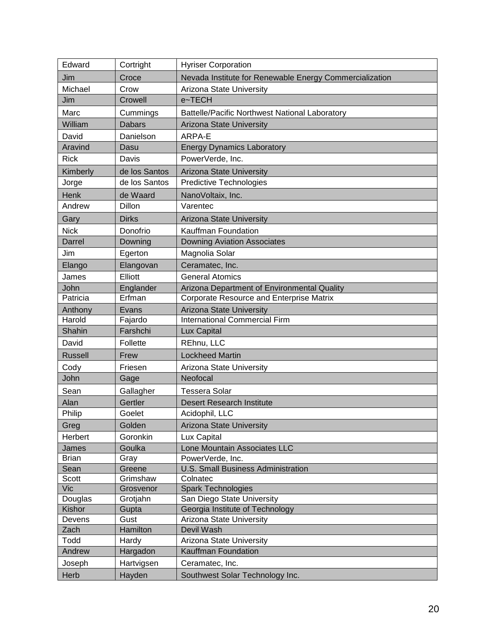| Edward            | Cortright           | <b>Hyriser Corporation</b>                                              |
|-------------------|---------------------|-------------------------------------------------------------------------|
| Jim               | Croce               | Nevada Institute for Renewable Energy Commercialization                 |
| Michael           | Crow                | Arizona State University                                                |
| Jim               | Crowell             | e~TECH                                                                  |
| Marc              | Cummings            | <b>Battelle/Pacific Northwest National Laboratory</b>                   |
| William           | <b>Dabars</b>       | Arizona State University                                                |
| David             | Danielson           | ARPA-E                                                                  |
| Aravind           | Dasu                | <b>Energy Dynamics Laboratory</b>                                       |
| <b>Rick</b>       | Davis               | PowerVerde, Inc.                                                        |
| Kimberly          | de los Santos       | <b>Arizona State University</b>                                         |
| Jorge             | de los Santos       | Predictive Technologies                                                 |
| Henk              | de Waard            | NanoVoltaix, Inc.                                                       |
| Andrew            | Dillon              | Varentec                                                                |
| Gary              | <b>Dirks</b>        | Arizona State University                                                |
| <b>Nick</b>       | Donofrio            | Kauffman Foundation                                                     |
| Darrel            | Downing             | <b>Downing Aviation Associates</b>                                      |
|                   |                     |                                                                         |
| Jim               | Egerton             | Magnolia Solar                                                          |
| Elango            | Elangovan           | Ceramatec, Inc.                                                         |
| James             | Elliott             | <b>General Atomics</b>                                                  |
| John<br>Patricia  | Englander<br>Erfman | Arizona Department of Environmental Quality                             |
|                   |                     | Corporate Resource and Enterprise Matrix                                |
| Anthony<br>Harold | Evans<br>Fajardo    | <b>Arizona State University</b><br><b>International Commercial Firm</b> |
| Shahin            | Farshchi            |                                                                         |
| David             | Follette            | Lux Capital<br>REhnu, LLC                                               |
|                   |                     |                                                                         |
| <b>Russell</b>    | Frew                | <b>Lockheed Martin</b>                                                  |
| Cody              | Friesen             | Arizona State University                                                |
| John              | Gage                | Neofocal                                                                |
| Sean              | Gallagher           | <b>Tessera Solar</b>                                                    |
| Alan              | Gertler             | <b>Desert Research Institute</b>                                        |
| Philip            | Goelet              | Acidophil, LLC                                                          |
| Greg              | Golden              | Arizona State University                                                |
| Herbert           | Goronkin            | Lux Capital                                                             |
| James             | Goulka              | Lone Mountain Associates LLC                                            |
| <b>Brian</b>      | Gray                | PowerVerde, Inc.                                                        |
| Sean              | Greene              | U.S. Small Business Administration                                      |
| Scott             | Grimshaw            | Colnatec                                                                |
| <b>Vic</b>        | Grosvenor           | <b>Spark Technologies</b><br>San Diego State University                 |
| Douglas<br>Kishor | Grotjahn<br>Gupta   | Georgia Institute of Technology                                         |
| Devens            | Gust                | Arizona State University                                                |
| Zach              | Hamilton            | Devil Wash                                                              |
| Todd              | Hardy               | Arizona State University                                                |
| Andrew            | Hargadon            | Kauffman Foundation                                                     |
| Joseph            | Hartvigsen          | Ceramatec, Inc.                                                         |
| Herb              | Hayden              | Southwest Solar Technology Inc.                                         |
|                   |                     |                                                                         |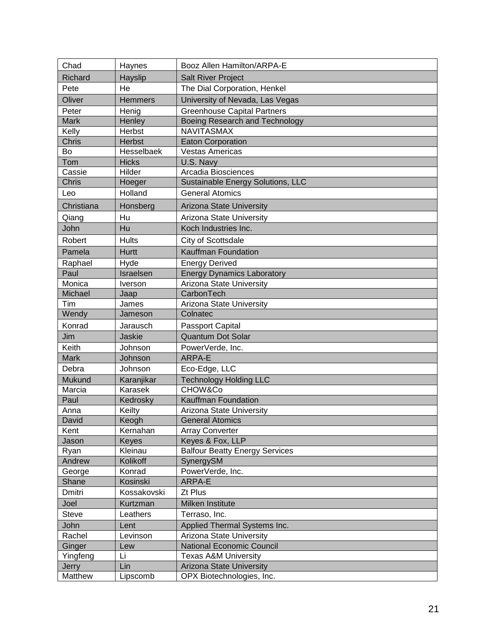| Chad           | Haynes         | Booz Allen Hamilton/ARPA-E            |
|----------------|----------------|---------------------------------------|
| <b>Richard</b> | Hayslip        | Salt River Project                    |
| Pete           | He             | The Dial Corporation, Henkel          |
| Oliver         | <b>Hemmers</b> | University of Nevada, Las Vegas       |
| Peter          | Henig          | <b>Greenhouse Capital Partners</b>    |
| <b>Mark</b>    | Henley         | Boeing Research and Technology        |
| Kelly          | Herbst         | <b>NAVITASMAX</b>                     |
| Chris          | <b>Herbst</b>  | <b>Eaton Corporation</b>              |
| Bo             | Hesselbaek     | <b>Vestas Americas</b>                |
| Tom            | <b>Hicks</b>   | U.S. Navy                             |
| Cassie         | Hilder         | Arcadia Biosciences                   |
| <b>Chris</b>   | Hoeger         | Sustainable Energy Solutions, LLC     |
| Leo            | Holland        | <b>General Atomics</b>                |
| Christiana     | Honsberg       | <b>Arizona State University</b>       |
| Qiang          | Hu             | Arizona State University              |
| John           | Hu             | Koch Industries Inc.                  |
| Robert         | <b>Hults</b>   | City of Scottsdale                    |
| Pamela         | <b>Hurtt</b>   | Kauffman Foundation                   |
| Raphael        | Hyde           | <b>Energy Derived</b>                 |
| Paul           | Israelsen      | <b>Energy Dynamics Laboratory</b>     |
| Monica         | Iverson        | Arizona State University              |
| Michael        | Jaap           | CarbonTech                            |
| Tim            | James          | Arizona State University              |
| Wendy          | Jameson        | Colnatec                              |
| Konrad         | Jarausch       | Passport Capital                      |
| Jim            | Jaskie         | <b>Quantum Dot Solar</b>              |
| Keith          | Johnson        | PowerVerde, Inc.                      |
| <b>Mark</b>    | Johnson        | ARPA-E                                |
| Debra          | Johnson        | Eco-Edge, LLC                         |
| Mukund         | Karanjikar     | <b>Technology Holding LLC</b>         |
| Marcia         | Karasek        | CHOW&Co                               |
| Paul           | Kedrosky       | Kauffman Foundation                   |
| Anna           | Keilty         | Arizona State University              |
| David          | Keogh          | <b>General Atomics</b>                |
| Kent           | Kernahan       | <b>Array Converter</b>                |
| Jason          | Keyes          | Keyes & Fox, LLP                      |
| Ryan           | Kleinau        | <b>Balfour Beatty Energy Services</b> |
| Andrew         | Kolikoff       | SynergySM                             |
| George         | Konrad         | PowerVerde, Inc.                      |
| Shane          | Kosinski       | ARPA-E                                |
| Dmitri         | Kossakovski    | Zt Plus                               |
| Joel           | Kurtzman       | Milken Institute                      |
| <b>Steve</b>   | Leathers       | Terraso, Inc.                         |
| John           | Lent           | Applied Thermal Systems Inc.          |
| Rachel         | Levinson       | Arizona State University              |
| Ginger         | Lew            | <b>National Economic Council</b>      |
| Yingfeng       | Li             | <b>Texas A&amp;M University</b>       |
| Jerry          | Lin            | Arizona State University              |
| Matthew        | Lipscomb       | OPX Biotechnologies, Inc.             |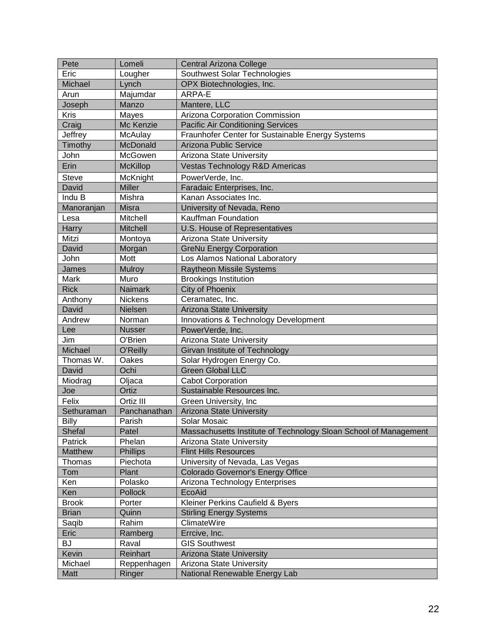| Pete              | Lomeli            | Central Arizona College                                                     |
|-------------------|-------------------|-----------------------------------------------------------------------------|
| Eric              | Lougher           | Southwest Solar Technologies                                                |
| Michael           | Lynch             | OPX Biotechnologies, Inc.                                                   |
| Arun              | Majumdar          | ARPA-E                                                                      |
| Joseph            | Manzo             | Mantere, LLC                                                                |
| Kris              | Mayes             | Arizona Corporation Commission                                              |
| Craig             | Mc Kenzie         | Pacific Air Conditioning Services                                           |
| Jeffrey           | McAulay           | Fraunhofer Center for Sustainable Energy Systems                            |
| Timothy           | McDonald          | Arizona Public Service                                                      |
| John              | McGowen           | Arizona State University                                                    |
| Erin              | <b>McKillop</b>   | Vestas Technology R&D Americas                                              |
| <b>Steve</b>      | McKnight          | PowerVerde, Inc.                                                            |
| <b>David</b>      | <b>Miller</b>     | Faradaic Enterprises, Inc.                                                  |
| Indu B            | Mishra            | Kanan Associates Inc.                                                       |
| Manoranjan        | <b>Misra</b>      | University of Nevada, Reno                                                  |
| Lesa              | Mitchell          | Kauffman Foundation                                                         |
| Harry             | <b>Mitchell</b>   | U.S. House of Representatives                                               |
| Mitzi             | Montoya           | Arizona State University                                                    |
| David             | Morgan            | <b>GreNu Energy Corporation</b>                                             |
| John              | Mott              | Los Alamos National Laboratory                                              |
| James             | Mulroy            | <b>Raytheon Missile Systems</b>                                             |
| Mark              | Muro              | <b>Brookings Institution</b>                                                |
| <b>Rick</b>       | <b>Naimark</b>    | <b>City of Phoenix</b>                                                      |
| Anthony           | <b>Nickens</b>    | Ceramatec, Inc.                                                             |
| David             | Nielsen           |                                                                             |
| Andrew            | Norman            | Arizona State University<br><b>Innovations &amp; Technology Development</b> |
|                   | <b>Nusser</b>     |                                                                             |
| Lee               | O'Brien           | PowerVerde, Inc.<br><b>Arizona State University</b>                         |
| Jim               |                   |                                                                             |
| Michael           | O'Reilly<br>Oakes | Girvan Institute of Technology                                              |
| Thomas W.         | Ochi              | Solar Hydrogen Energy Co.<br><b>Green Global LLC</b>                        |
| David<br>Miodrag  |                   | <b>Cabot Corporation</b>                                                    |
|                   | Oljaca<br>Ortiz   | Sustainable Resources Inc.                                                  |
| Joe               |                   |                                                                             |
| Felix             | Ortiz III         | Green University, Inc                                                       |
| Sethuraman        | Panchanathan      | Arizona State University                                                    |
| <b>Billy</b>      | Parish            | Solar Mosaic                                                                |
| Shefal<br>Patrick | Patel             | Massachusetts Institute of Technology Sloan School of Management            |
|                   | Phelan            | Arizona State University                                                    |
| Matthew           | Phillips          | <b>Flint Hills Resources</b>                                                |
| Thomas            | Piechota          | University of Nevada, Las Vegas                                             |
| Tom               | Plant             | Colorado Governor's Energy Office                                           |
| Ken               | Polasko           | Arizona Technology Enterprises                                              |
| Ken               | Pollock           | EcoAid                                                                      |
| <b>Brook</b>      | Porter            | Kleiner Perkins Caufield & Byers                                            |
| <b>Brian</b>      | Quinn             | <b>Stirling Energy Systems</b>                                              |
| Saqib             | Rahim             | ClimateWire                                                                 |
| Eric              | Ramberg           | Errcive, Inc.                                                               |
| <b>BJ</b>         | Raval             | <b>GIS Southwest</b>                                                        |
| Kevin             | Reinhart          | <b>Arizona State University</b>                                             |
| Michael           | Reppenhagen       | Arizona State University                                                    |
| Matt              | Ringer            | National Renewable Energy Lab                                               |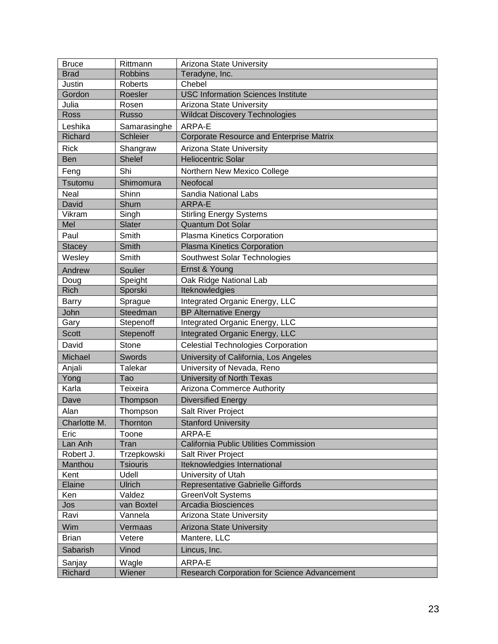| <b>Bruce</b>  | Rittmann        | Arizona State University                        |
|---------------|-----------------|-------------------------------------------------|
| <b>Brad</b>   | <b>Robbins</b>  | Teradyne, Inc.                                  |
| Justin        | <b>Roberts</b>  | Chebel                                          |
| Gordon        | Roesler         | <b>USC Information Sciences Institute</b>       |
| Julia         | Rosen           | Arizona State University                        |
| Ross          | <b>Russo</b>    | <b>Wildcat Discovery Technologies</b>           |
| Leshika       | Samarasinghe    | ARPA-E                                          |
| Richard       | <b>Schleier</b> | <b>Corporate Resource and Enterprise Matrix</b> |
| <b>Rick</b>   | Shangraw        | Arizona State University                        |
| <b>Ben</b>    | <b>Shelef</b>   | <b>Heliocentric Solar</b>                       |
| Feng          | Shi             | Northern New Mexico College                     |
| Tsutomu       | Shimomura       | Neofocal                                        |
| Neal          | Shinn           | Sandia National Labs                            |
| David         | Shum            | ARPA-E                                          |
| Vikram        | Singh           | <b>Stirling Energy Systems</b>                  |
| Mel           | Slater          | <b>Quantum Dot Solar</b>                        |
| Paul          | Smith           | Plasma Kinetics Corporation                     |
| <b>Stacey</b> | Smith           | Plasma Kinetics Corporation                     |
| Wesley        | Smith           | Southwest Solar Technologies                    |
| Andrew        | Soulier         | Ernst & Young                                   |
| Doug          | Speight         | Oak Ridge National Lab                          |
| <b>Rich</b>   | Sporski         | Iteknowledgies                                  |
| <b>Barry</b>  | Sprague         | Integrated Organic Energy, LLC                  |
| John          | Steedman        | <b>BP Alternative Energy</b>                    |
| Gary          | Stepenoff       | Integrated Organic Energy, LLC                  |
| <b>Scott</b>  | Stepenoff       | Integrated Organic Energy, LLC                  |
| David         | <b>Stone</b>    | <b>Celestial Technologies Corporation</b>       |
| Michael       | Swords          | University of California, Los Angeles           |
| Anjali        | Talekar         | University of Nevada, Reno                      |
| Yong          | Tao             | <b>University of North Texas</b>                |
| Karla         | <b>Teixeira</b> | Arizona Commerce Authority                      |
| Dave          | Thompson        | <b>Diversified Energy</b>                       |
| Alan          | Thompson        | <b>Salt River Project</b>                       |
| Charlotte M.  | Thornton        | <b>Stanford University</b>                      |
| Eric          | Toone           | ARPA-E                                          |
| Lan Anh       | Tran            | California Public Utilities Commission          |
| Robert J.     | Trzepkowski     | <b>Salt River Project</b>                       |
| Manthou       | <b>Tsiouris</b> | Iteknowledgies International                    |
| Kent          | Udell           | University of Utah                              |
| Elaine        | <b>Ulrich</b>   | Representative Gabrielle Giffords               |
| Ken           | Valdez          | GreenVolt Systems                               |
| Jos           | van Boxtel      | Arcadia Biosciences                             |
| Ravi          | Vannela         | Arizona State University                        |
| Wim           | Vermaas         | Arizona State University                        |
| <b>Brian</b>  | Vetere          | Mantere, LLC                                    |
| Sabarish      | Vinod           | Lincus, Inc.                                    |
| Sanjay        | Wagle           | ARPA-E                                          |
| Richard       | Wiener          | Research Corporation for Science Advancement    |